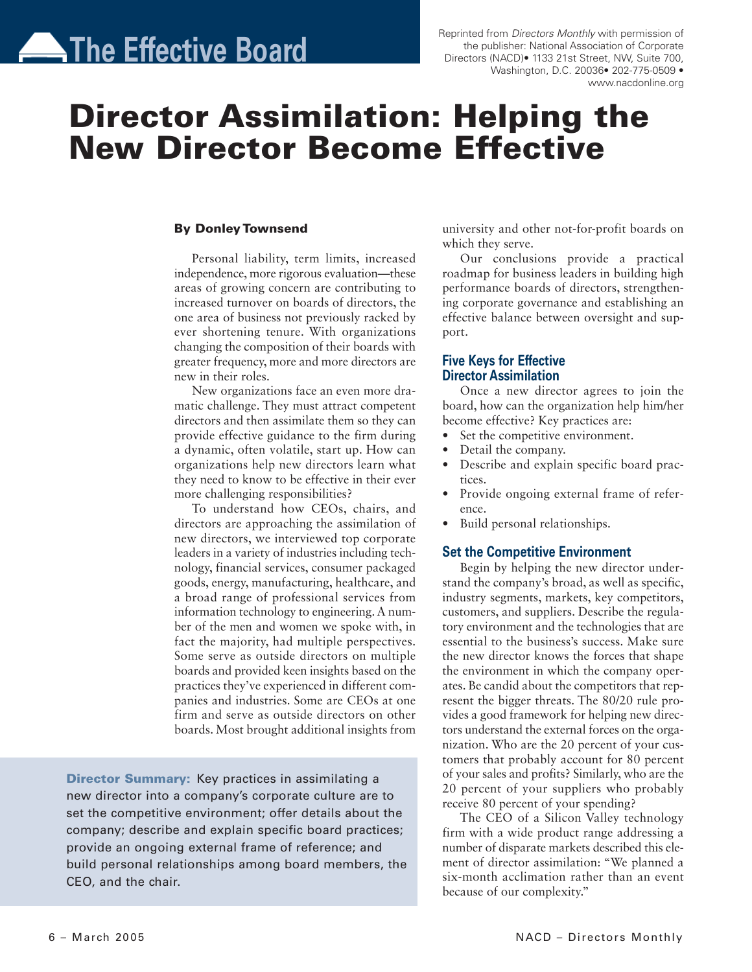# **The Effective Board**

Reprinted from Directors Monthly with permission of the publisher: National Association of Corporate Directors (NACD)• 1133 21st Street, NW, Suite 700, Washington, D.C. 20036• 202-775-0509 • www.nacdonline.org

# Director Assimilation: Helping the New Director Become Effective

#### By Donley Townsend

Personal liability, term limits, increased independence, more rigorous evaluation—these areas of growing concern are contributing to increased turnover on boards of directors, the one area of business not previously racked by ever shortening tenure. With organizations changing the composition of their boards with greater frequency, more and more directors are new in their roles.

New organizations face an even more dramatic challenge. They must attract competent directors and then assimilate them so they can provide effective guidance to the firm during a dynamic, often volatile, start up. How can organizations help new directors learn what they need to know to be effective in their ever more challenging responsibilities?

To understand how CEOs, chairs, and directors are approaching the assimilation of new directors, we interviewed top corporate leaders in a variety of industries including technology, financial services, consumer packaged goods, energy, manufacturing, healthcare, and a broad range of professional services from information technology to engineering.A number of the men and women we spoke with, in fact the majority, had multiple perspectives. Some serve as outside directors on multiple boards and provided keen insights based on the practices they've experienced in different companies and industries. Some are CEOs at one firm and serve as outside directors on other boards. Most brought additional insights from

**Director Summary:** Key practices in assimilating a new director into a company's corporate culture are to set the competitive environment; offer details about the company; describe and explain specific board practices; provide an ongoing external frame of reference; and build personal relationships among board members, the CEO, and the chair.

university and other not-for-profit boards on which they serve.

Our conclusions provide a practical roadmap for business leaders in building high performance boards of directors, strengthening corporate governance and establishing an effective balance between oversight and support.

## Five Keys for Effective Director Assimilation

Once a new director agrees to join the board, how can the organization help him/her become effective? Key practices are:

- Set the competitive environment.
- Detail the company.
- Describe and explain specific board practices.
- Provide ongoing external frame of reference.
- Build personal relationships.

### Set the Competitive Environment

Begin by helping the new director understand the company's broad, as well as specific, industry segments, markets, key competitors, customers, and suppliers. Describe the regulatory environment and the technologies that are essential to the business's success. Make sure the new director knows the forces that shape the environment in which the company operates. Be candid about the competitors that represent the bigger threats. The 80/20 rule provides a good framework for helping new directors understand the external forces on the organization. Who are the 20 percent of your customers that probably account for 80 percent of your sales and profits? Similarly, who are the 20 percent of your suppliers who probably receive 80 percent of your spending?

The CEO of a Silicon Valley technology firm with a wide product range addressing a number of disparate markets described this element of director assimilation: "We planned a six-month acclimation rather than an event because of our complexity."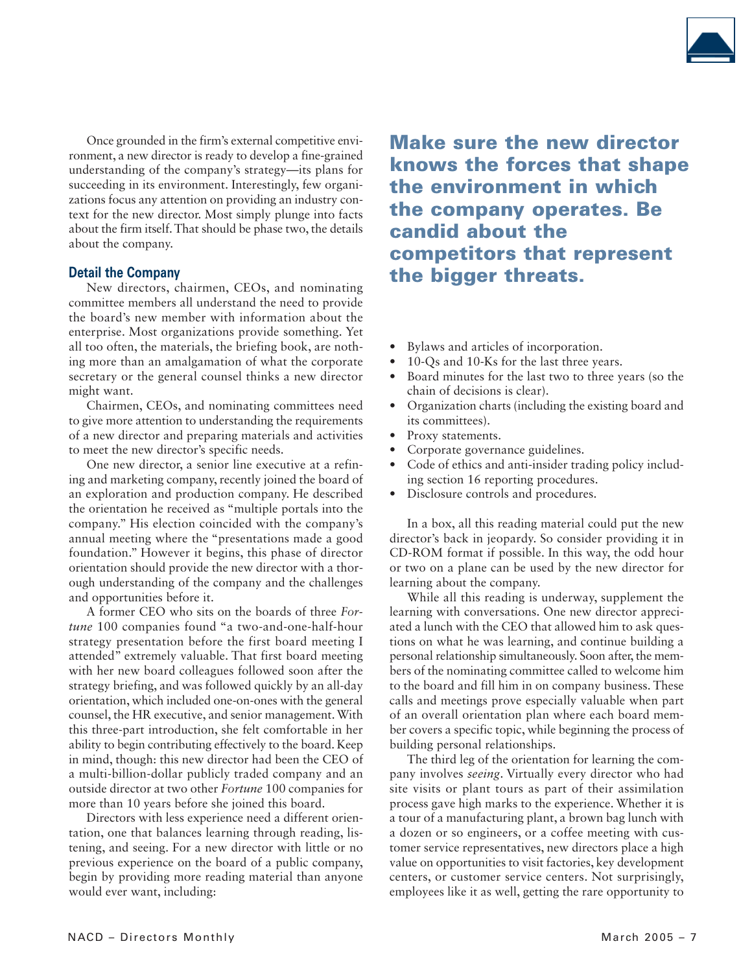

Once grounded in the firm's external competitive environment, a new director is ready to develop a fine-grained understanding of the company's strategy—its plans for succeeding in its environment. Interestingly, few organizations focus any attention on providing an industry context for the new director. Most simply plunge into facts about the firm itself.That should be phase two, the details about the company.

#### Detail the Company

New directors, chairmen, CEOs, and nominating committee members all understand the need to provide the board's new member with information about the enterprise. Most organizations provide something. Yet all too often, the materials, the briefing book, are nothing more than an amalgamation of what the corporate secretary or the general counsel thinks a new director might want.

Chairmen, CEOs, and nominating committees need to give more attention to understanding the requirements of a new director and preparing materials and activities to meet the new director's specific needs.

One new director, a senior line executive at a refining and marketing company, recently joined the board of an exploration and production company. He described the orientation he received as "multiple portals into the company." His election coincided with the company's annual meeting where the "presentations made a good foundation." However it begins, this phase of director orientation should provide the new director with a thorough understanding of the company and the challenges and opportunities before it.

A former CEO who sits on the boards of three Fortune 100 companies found "a two-and-one-half-hour strategy presentation before the first board meeting I attended" extremely valuable. That first board meeting with her new board colleagues followed soon after the strategy briefing, and was followed quickly by an all-day orientation, which included one-on-ones with the general counsel, the HR executive, and senior management. With this three-part introduction, she felt comfortable in her ability to begin contributing effectively to the board. Keep in mind, though: this new director had been the CEO of a multi-billion-dollar publicly traded company and an outside director at two other Fortune 100 companies for more than 10 years before she joined this board.

Directors with less experience need a different orientation, one that balances learning through reading, listening, and seeing. For a new director with little or no previous experience on the board of a public company, begin by providing more reading material than anyone would ever want, including:

Make sure the new director knows the forces that shape the environment in which the company operates. Be candid about the competitors that represent the bigger threats.

- Bylaws and articles of incorporation.
- 10-Qs and 10-Ks for the last three years.
- Board minutes for the last two to three years (so the chain of decisions is clear).
- Organization charts (including the existing board and its committees).
- Proxy statements.
- Corporate governance guidelines.
- Code of ethics and anti-insider trading policy including section 16 reporting procedures.
- Disclosure controls and procedures.

In a box, all this reading material could put the new director's back in jeopardy. So consider providing it in CD-ROM format if possible. In this way, the odd hour or two on a plane can be used by the new director for learning about the company.

While all this reading is underway, supplement the learning with conversations. One new director appreciated a lunch with the CEO that allowed him to ask questions on what he was learning, and continue building a personal relationship simultaneously. Soon after, the members of the nominating committee called to welcome him to the board and fill him in on company business. These calls and meetings prove especially valuable when part of an overall orientation plan where each board member covers a specific topic, while beginning the process of building personal relationships.

The third leg of the orientation for learning the company involves seeing. Virtually every director who had site visits or plant tours as part of their assimilation process gave high marks to the experience. Whether it is a tour of a manufacturing plant, a brown bag lunch with a dozen or so engineers, or a coffee meeting with customer service representatives, new directors place a high value on opportunities to visit factories, key development centers, or customer service centers. Not surprisingly, employees like it as well, getting the rare opportunity to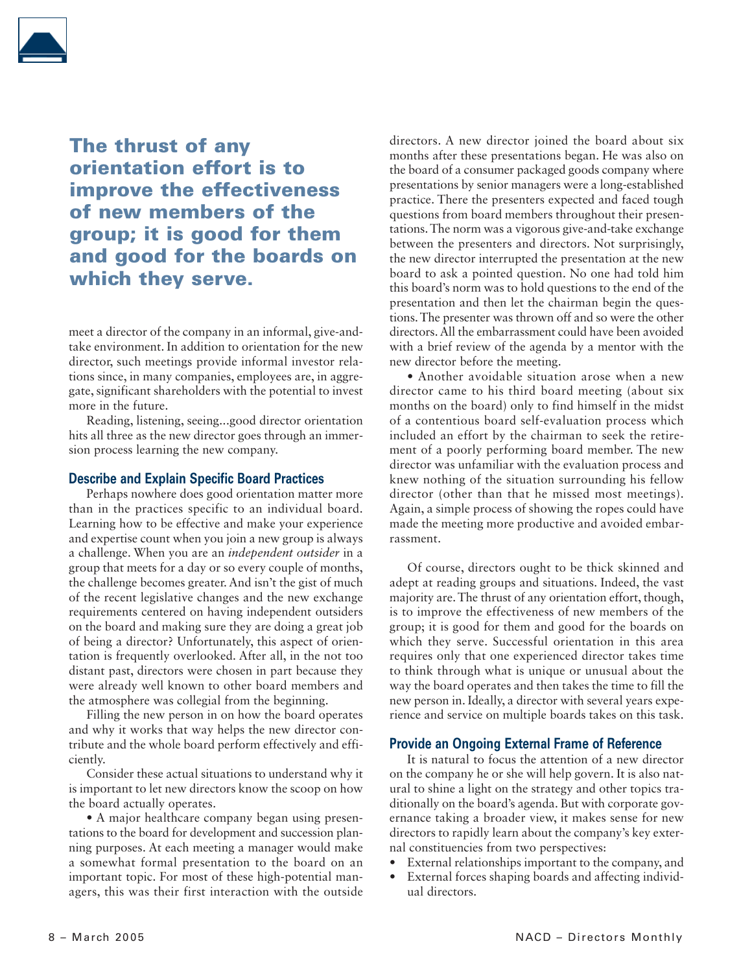

The thrust of any orientation effort is to improve the effectiveness of new members of the group; it is good for them and good for the boards on which they serve.

meet a director of the company in an informal, give-andtake environment. In addition to orientation for the new director, such meetings provide informal investor relations since, in many companies, employees are, in aggregate, significant shareholders with the potential to invest more in the future.

Reading, listening, seeing...good director orientation hits all three as the new director goes through an immersion process learning the new company.

#### Describe and Explain Specific Board Practices

Perhaps nowhere does good orientation matter more than in the practices specific to an individual board. Learning how to be effective and make your experience and expertise count when you join a new group is always a challenge. When you are an independent outsider in a group that meets for a day or so every couple of months, the challenge becomes greater. And isn't the gist of much of the recent legislative changes and the new exchange requirements centered on having independent outsiders on the board and making sure they are doing a great job of being a director? Unfortunately, this aspect of orientation is frequently overlooked. After all, in the not too distant past, directors were chosen in part because they were already well known to other board members and the atmosphere was collegial from the beginning.

Filling the new person in on how the board operates and why it works that way helps the new director contribute and the whole board perform effectively and efficiently.

Consider these actual situations to understand why it is important to let new directors know the scoop on how the board actually operates.

• A major healthcare company began using presentations to the board for development and succession planning purposes. At each meeting a manager would make a somewhat formal presentation to the board on an important topic. For most of these high-potential managers, this was their first interaction with the outside directors. A new director joined the board about six months after these presentations began. He was also on the board of a consumer packaged goods company where presentations by senior managers were a long-established practice. There the presenters expected and faced tough questions from board members throughout their presentations.The norm was a vigorous give-and-take exchange between the presenters and directors. Not surprisingly, the new director interrupted the presentation at the new board to ask a pointed question. No one had told him this board's norm was to hold questions to the end of the presentation and then let the chairman begin the questions.The presenter was thrown off and so were the other directors.All the embarrassment could have been avoided with a brief review of the agenda by a mentor with the new director before the meeting.

• Another avoidable situation arose when a new director came to his third board meeting (about six months on the board) only to find himself in the midst of a contentious board self-evaluation process which included an effort by the chairman to seek the retirement of a poorly performing board member. The new director was unfamiliar with the evaluation process and knew nothing of the situation surrounding his fellow director (other than that he missed most meetings). Again, a simple process of showing the ropes could have made the meeting more productive and avoided embarrassment.

Of course, directors ought to be thick skinned and adept at reading groups and situations. Indeed, the vast majority are. The thrust of any orientation effort, though, is to improve the effectiveness of new members of the group; it is good for them and good for the boards on which they serve. Successful orientation in this area requires only that one experienced director takes time to think through what is unique or unusual about the way the board operates and then takes the time to fill the new person in. Ideally, a director with several years experience and service on multiple boards takes on this task.

#### Provide an Ongoing External Frame of Reference

It is natural to focus the attention of a new director on the company he or she will help govern. It is also natural to shine a light on the strategy and other topics traditionally on the board's agenda. But with corporate governance taking a broader view, it makes sense for new directors to rapidly learn about the company's key external constituencies from two perspectives:

- External relationships important to the company, and
- External forces shaping boards and affecting individual directors.